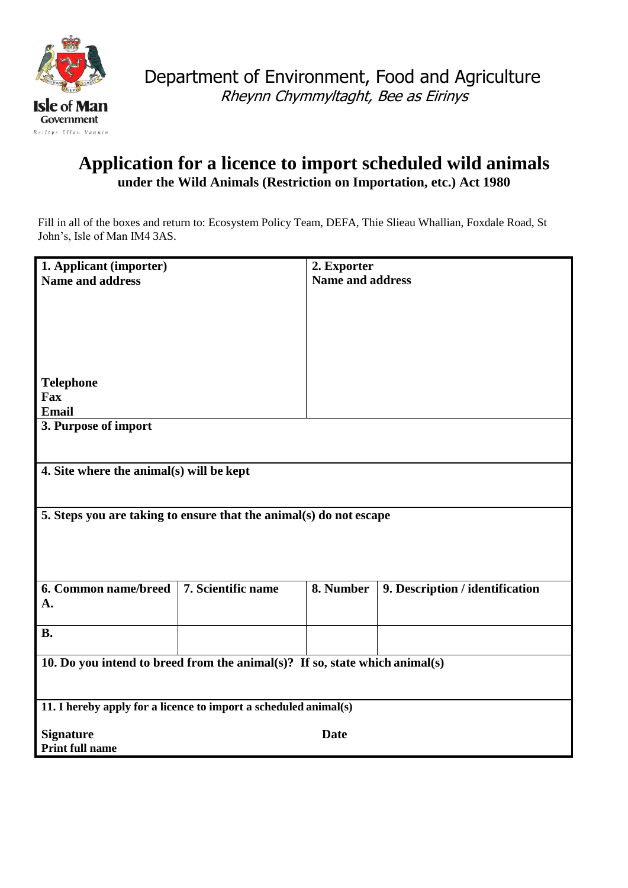

## **Application for a licence to import scheduled wild animals under the Wild Animals (Restriction on Importation, etc.) Act 1980**

Fill in all of the boxes and return to: Ecosystem Policy Team, DEFA, Thie Slieau Whallian, Foxdale Road, St John's, Isle of Man IM4 3AS.

| 1. Applicant (importer)                                                     |                    | 2. Exporter      |                                 |
|-----------------------------------------------------------------------------|--------------------|------------------|---------------------------------|
| <b>Name and address</b>                                                     |                    | Name and address |                                 |
|                                                                             |                    |                  |                                 |
|                                                                             |                    |                  |                                 |
|                                                                             |                    |                  |                                 |
|                                                                             |                    |                  |                                 |
|                                                                             |                    |                  |                                 |
| <b>Telephone</b>                                                            |                    |                  |                                 |
| <b>Fax</b>                                                                  |                    |                  |                                 |
| Email                                                                       |                    |                  |                                 |
| 3. Purpose of import                                                        |                    |                  |                                 |
|                                                                             |                    |                  |                                 |
|                                                                             |                    |                  |                                 |
| 4. Site where the animal(s) will be kept                                    |                    |                  |                                 |
|                                                                             |                    |                  |                                 |
|                                                                             |                    |                  |                                 |
| 5. Steps you are taking to ensure that the animal(s) do not escape          |                    |                  |                                 |
|                                                                             |                    |                  |                                 |
|                                                                             |                    |                  |                                 |
|                                                                             |                    |                  |                                 |
| 6. Common name/breed                                                        | 7. Scientific name | 8. Number        | 9. Description / identification |
| A.                                                                          |                    |                  |                                 |
|                                                                             |                    |                  |                                 |
| <b>B.</b>                                                                   |                    |                  |                                 |
|                                                                             |                    |                  |                                 |
| 10. Do you intend to breed from the animal(s)? If so, state which animal(s) |                    |                  |                                 |
|                                                                             |                    |                  |                                 |
|                                                                             |                    |                  |                                 |
| 11. I hereby apply for a licence to import a scheduled animal(s)            |                    |                  |                                 |
| <b>Signature</b>                                                            |                    | <b>Date</b>      |                                 |
| <b>Print full name</b>                                                      |                    |                  |                                 |